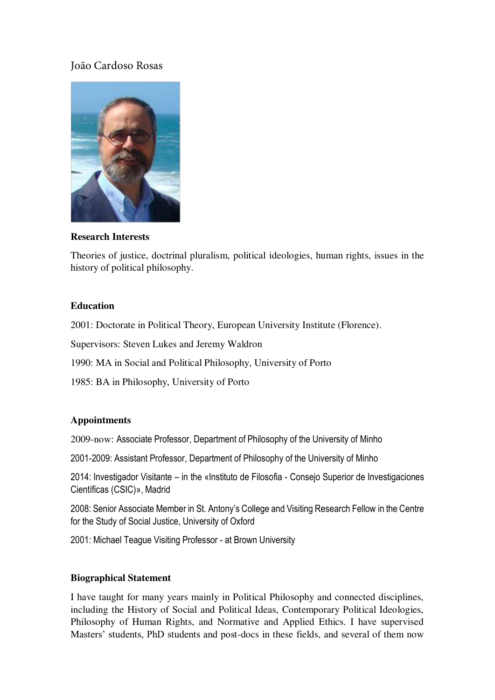# João Cardoso Rosas



**Research Interests** 

Theories of justice, doctrinal pluralism, political ideologies, human rights, issues in the history of political philosophy.

### **Education**

2001: Doctorate in Political Theory, European University Institute (Florence).

Supervisors: Steven Lukes and Jeremy Waldron

1990: MA in Social and Political Philosophy, University of Porto

1985: BA in Philosophy, University of Porto

#### **Appointments**

2009-now: Associate Professor, Department of Philosophy of the University of Minho

2001-2009: Assistant Professor, Department of Philosophy of the University of Minho

2014: Investigador Visitante – in the «Instituto de Filosofia - Consejo Superior de Investigaciones Científicas (CSIC)», Madrid

2008: Senior Associate Member in St. Antony's College and Visiting Research Fellow in the Centre for the Study of Social Justice, University of Oxford

2001: Michael Teague Visiting Professor - at Brown University

#### **Biographical Statement**

I have taught for many years mainly in Political Philosophy and connected disciplines, including the History of Social and Political Ideas, Contemporary Political Ideologies, Philosophy of Human Rights, and Normative and Applied Ethics. I have supervised Masters' students, PhD students and post-docs in these fields, and several of them now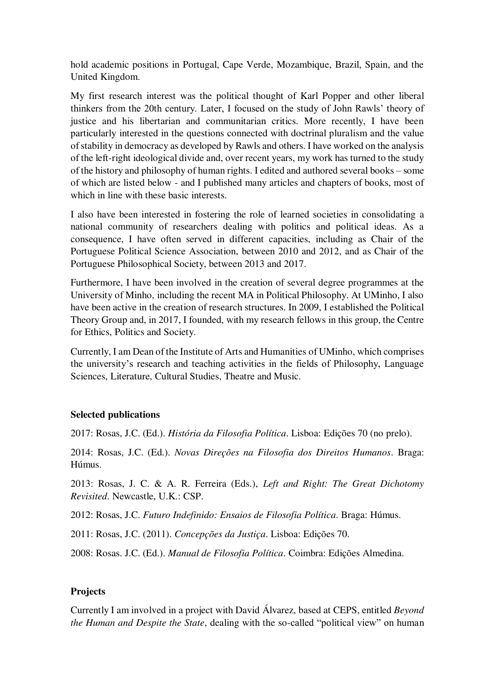hold academic positions in Portugal, Cape Verde, Mozambique, Brazil, Spain, and the United Kingdom.

My first research interest was the political thought of Karl Popper and other liberal thinkers from the 20th century. Later, I focused on the study of John Rawls' theory of justice and his libertarian and communitarian critics. More recently, I have been particularly interested in the questions connected with doctrinal pluralism and the value of stability in democracy as developed by Rawls and others. I have worked on the analysis of the left-right ideological divide and, over recent years, my work has turned to the study of the history and philosophy of human rights. I edited and authored several books – some of which are listed below - and I published many articles and chapters of books, most of which in line with these basic interests.

I also have been interested in fostering the role of learned societies in consolidating a national community of researchers dealing with politics and political ideas. As a consequence, I have often served in different capacities, including as Chair of the Portuguese Political Science Association, between 2010 and 2012, and as Chair of the Portuguese Philosophical Society, between 2013 and 2017.

Furthermore, I have been involved in the creation of several degree programmes at the University of Minho, including the recent MA in Political Philosophy. At UMinho, I also have been active in the creation of research structures. In 2009, I established the Political Theory Group and, in 2017, I founded, with my research fellows in this group, the Centre for Ethics, Politics and Society.

Currently, I am Dean of the Institute of Arts and Humanities of UMinho, which comprises the university's research and teaching activities in the fields of Philosophy, Language Sciences, Literature, Cultural Studies, Theatre and Music.

# **Selected publications**

2017: Rosas, J.C. (Ed.). *História da Filosofia Política*. Lisboa: Edições 70 (no prelo).

2014: Rosas, J.C. (Ed.). *Novas Direções na Filosofia dos Direitos Humanos*. Braga: Húmus.

2013: Rosas, J. C. & A. R. Ferreira (Eds.), *Left and Right: The Great Dichotomy Revisited*. Newcastle, U.K.: CSP.

2012: Rosas, J.C. *Futuro Indefinido: Ensaios de Filosofia Política*. Braga: Húmus.

2011: Rosas, J.C. (2011). *Concepções da Justiça*. Lisboa: Edições 70.

2008: Rosas. J.C. (Ed.). *Manual de Filosofia Política*. Coimbra: Edições Almedina.

# **Projects**

Currently I am involved in a project with David Álvarez, based at CEPS, entitled *Beyond the Human and Despite the State*, dealing with the so-called "political view" on human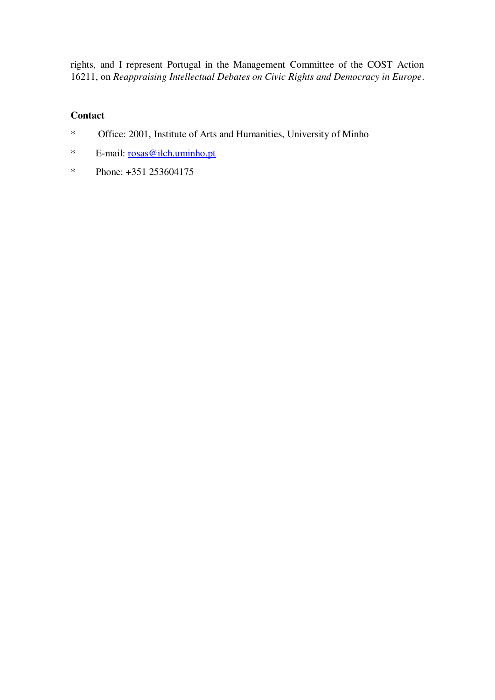rights, and I represent Portugal in the Management Committee of the COST Action 16211, on *Reappraising Intellectual Debates on Civic Rights and Democracy in Europe*.

# **Contact**

- \* Office: 2001, Institute of Arts and Humanities, University of Minho
- \* E-mail: [rosas@ilch.uminho.pt](mailto:rosas@ilch.uminho.pt)
- \* Phone: +351 253604175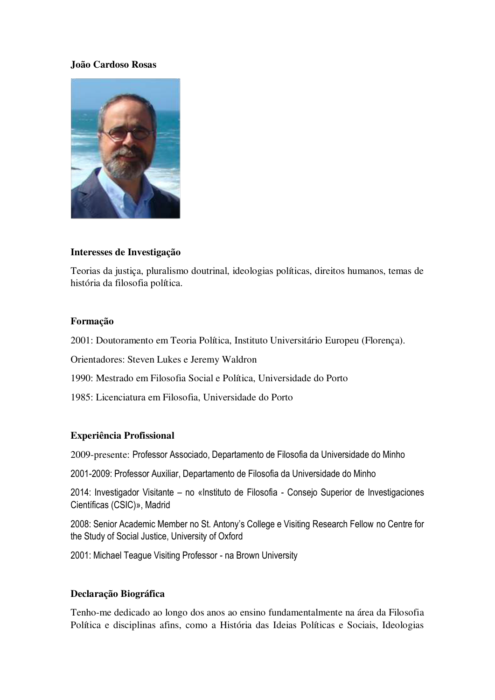### **João Cardoso Rosas**



#### **Interesses de Investigação**

Teorias da justiça, pluralismo doutrinal, ideologias políticas, direitos humanos, temas de história da filosofia política.

#### **Formação**

2001: Doutoramento em Teoria Política, Instituto Universitário Europeu (Florença).

Orientadores: Steven Lukes e Jeremy Waldron

1990: Mestrado em Filosofia Social e Política, Universidade do Porto

1985: Licenciatura em Filosofia, Universidade do Porto

### **Experiência Profissional**

2009-presente: Professor Associado, Departamento de Filosofia da Universidade do Minho

2001-2009: Professor Auxiliar, Departamento de Filosofia da Universidade do Minho

2014: Investigador Visitante – no «Instituto de Filosofia - Consejo Superior de Investigaciones Científicas (CSIC)», Madrid

2008: Senior Academic Member no St. Antony's College e Visiting Research Fellow no Centre for the Study of Social Justice, University of Oxford

2001: Michael Teague Visiting Professor - na Brown University

#### **Declaração Biográfica**

Tenho-me dedicado ao longo dos anos ao ensino fundamentalmente na área da Filosofia Política e disciplinas afins, como a História das Ideias Políticas e Sociais, Ideologias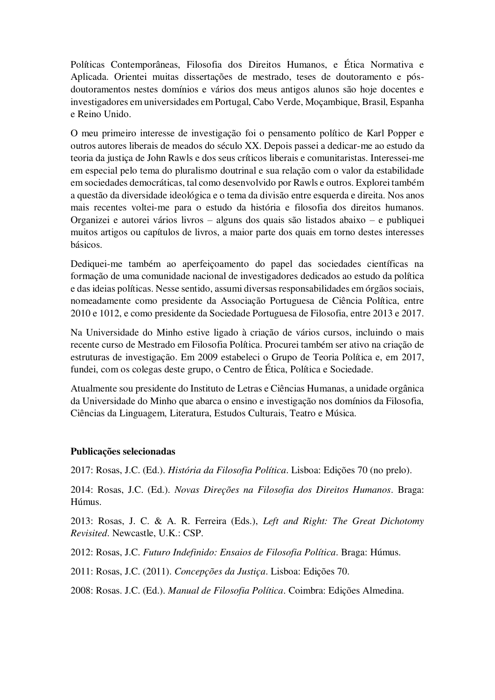Políticas Contemporâneas, Filosofia dos Direitos Humanos, e Ética Normativa e Aplicada. Orientei muitas dissertações de mestrado, teses de doutoramento e pósdoutoramentos nestes domínios e vários dos meus antigos alunos são hoje docentes e investigadores em universidades em Portugal, Cabo Verde, Moçambique, Brasil, Espanha e Reino Unido.

O meu primeiro interesse de investigação foi o pensamento político de Karl Popper e outros autores liberais de meados do século XX. Depois passei a dedicar-me ao estudo da teoria da justiça de John Rawls e dos seus críticos liberais e comunitaristas. Interessei-me em especial pelo tema do pluralismo doutrinal e sua relação com o valor da estabilidade em sociedades democráticas, tal como desenvolvido por Rawls e outros. Explorei também a questão da diversidade ideológica e o tema da divisão entre esquerda e direita. Nos anos mais recentes voltei-me para o estudo da história e filosofia dos direitos humanos. Organizei e autorei vários livros – alguns dos quais são listados abaixo – e publiquei muitos artigos ou capítulos de livros, a maior parte dos quais em torno destes interesses básicos.

Dediquei-me também ao aperfeiçoamento do papel das sociedades científicas na formação de uma comunidade nacional de investigadores dedicados ao estudo da política e das ideias políticas. Nesse sentido, assumi diversas responsabilidades em órgãos sociais, nomeadamente como presidente da Associação Portuguesa de Ciência Política, entre 2010 e 1012, e como presidente da Sociedade Portuguesa de Filosofia, entre 2013 e 2017.

Na Universidade do Minho estive ligado à criação de vários cursos, incluindo o mais recente curso de Mestrado em Filosofia Política. Procurei também ser ativo na criação de estruturas de investigação. Em 2009 estabeleci o Grupo de Teoria Política e, em 2017, fundei, com os colegas deste grupo, o Centro de Ética, Política e Sociedade.

Atualmente sou presidente do Instituto de Letras e Ciências Humanas, a unidade orgânica da Universidade do Minho que abarca o ensino e investigação nos domínios da Filosofia, Ciências da Linguagem, Literatura, Estudos Culturais, Teatro e Música.

#### **Publicações selecionadas**

2017: Rosas, J.C. (Ed.). *História da Filosofia Política*. Lisboa: Edições 70 (no prelo).

2014: Rosas, J.C. (Ed.). *Novas Direções na Filosofia dos Direitos Humanos*. Braga: Húmus.

2013: Rosas, J. C. & A. R. Ferreira (Eds.), *Left and Right: The Great Dichotomy Revisited*. Newcastle, U.K.: CSP.

2012: Rosas, J.C. *Futuro Indefinido: Ensaios de Filosofia Política*. Braga: Húmus.

2011: Rosas, J.C. (2011). *Concepções da Justiça*. Lisboa: Edições 70.

2008: Rosas. J.C. (Ed.). *Manual de Filosofia Política*. Coimbra: Edições Almedina.